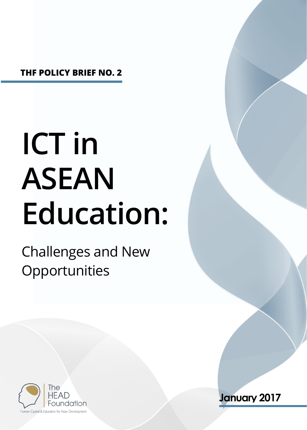**THF POLICY BRIEF NO. 2**

# **ICT in ASEAN Education:**

## Challenges and New **Opportunities**



**January 2017**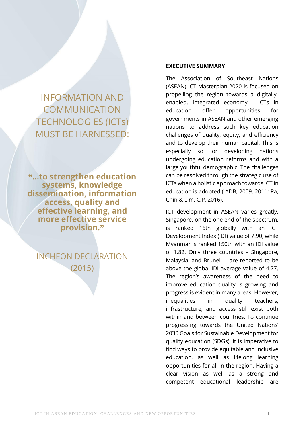INFORMATION AND COMMUNICATION TECHNOLOGIES (ICTs) MUST BE HARNESSED:

**"…to strengthen education systems, knowledge dissemination, information access, quality and effective learning, and more effective service provision."**

- INCHEON DECLARATION - (2015)

#### **EXECUTIVE SUMMARY**

The Association of Southeast Nations (ASEAN) ICT Masterplan 2020 is focused on propelling the region towards a digitallyenabled, integrated economy. ICTs in education offer opportunities for governments in ASEAN and other emerging nations to address such key education challenges of quality, equity, and efficiency and to develop their human capital. This is especially so for developing nations undergoing education reforms and with a large youthful demographic. The challenges can be resolved through the strategic use of ICTs when a holistic approach towards ICT in education is adopted ( ADB, 2009, 2011; Ra, Chin & Lim, C.P, 2016).

ICT development in ASEAN varies greatly. Singapore, on the one end of the spectrum, is ranked 16th globally with an ICT Development Index (IDI) value of 7.90, while Myanmar is ranked 150th with an IDI value of 1.82. Only three countries – Singapore, Malaysia, and Brunei – are reported to be above the global IDI average value of 4.77. The region's awareness of the need to improve education quality is growing and progress is evident in many areas. However, inequalities in quality teachers, infrastructure, and access still exist both within and between countries. To continue progressing towards the United Nations' 2030 Goals for Sustainable Development for quality education (SDGs), it is imperative to find ways to provide equitable and inclusive education, as well as lifelong learning opportunities for all in the region. Having a clear vision as well as a strong and competent educational leadership are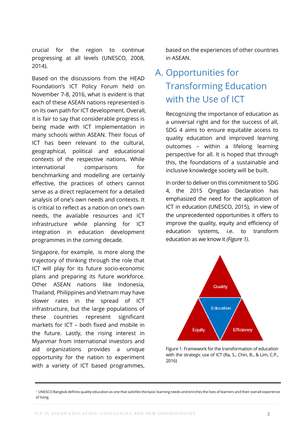crucial for the region to continue progressing at all levels (UNESCO, 2008, 2014).

Based on the discussions from the HEAD Foundation's ICT Policy Forum held on November 7-8, 2016, what is evident is that each of these ASEAN nations represented is on its own path for ICT development. Overall, it is fair to say that considerable progress is being made with ICT implementation in many schools within ASEAN. Their focus of ICT has been relevant to the cultural, geographical, political and educational contexts of the respective nations. While international comparisons for benchmarking and modelling are certainly effective, the practices of others cannot serve as a direct replacement for a detailed analysis of one's own needs and contexts. It is critical to reflect as a nation on one's own needs, the available resources and ICT infrastructure while planning for ICT integration in education development programmes in the coming decade.

Singapore, for example, is more along the trajectory of thinking through the role that ICT will play for its future socio-economic plans and preparing its future workforce. Other ASEAN nations like Indonesia, Thailand, Philippines and Vietnam may have slower rates in the spread of ICT infrastructure, but the large populations of these countries represent significant markets for ICT – both fixed and mobile in the future. Lastly, the rising interest in Myanmar from international investors and aid organizations provides a unique opportunity for the nation to experiment with a variety of ICT based programmes,

based on the experiences of other countries in ASEAN.

## A. Opportunities for Transforming Education with the Use of ICT

Recognizing the importance of education as a universal right and for the success of all, SDG 4 aims to ensure equitable access to quality education and improved learning outcomes – within a lifelong learning perspective for all. It is hoped that through this, the foundations of a sustainable and inclusive knowledge society will be built.

In order to deliver on this commitment to SDG 4, the 2015 Qingdao Declaration has emphasized the need for the application of ICT in education (UNESCO, 2015), in view of the unprecedented opportunities it offers to improve the quality, equity and efficiency of education systems, i.e. to transform education as we know it *(Figure 1)*.



Figure 1: Framework for the transformation of education with the strategic use of ICT (Ra, S., Chin, B., & Lim, C.P., 2016)

<sup>1</sup> UNESCO Bangkok defines quality education as one that satisfies the basic learning needs and enriches the lives of learners and their overall experience of living.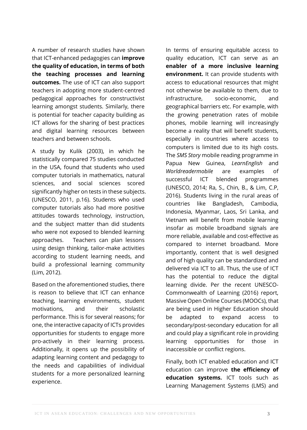A number of research studies have shown that ICT-enhanced pedagogies can **improve the quality of education, in terms of both the teaching processes and learning outcomes.** The use of ICT can also support teachers in adopting more student-centred pedagogical approaches for constructivist learning amongst students. Similarly, there is potential for teacher capacity building as ICT allows for the sharing of best practices and digital learning resources between teachers and between schools.

A study by Kulik (2003), in which he statistically compared 75 studies conducted in the USA, found that students who used computer tutorials in mathematics, natural sciences, and social sciences scored significantly higher on tests in these subjects. (UNESCO, 2011, p.16). Students who used computer tutorials also had more positive attitudes towards technology, instruction, and the subject matter than did students who were not exposed to blended learning approaches. Teachers can plan lessons using design thinking, tailor-make activities according to student learning needs, and build a professional learning community (Lim, 2012).

Based on the aforementioned studies, there is reason to believe that ICT can enhance teaching, learning environments, student motivations, and their scholastic performance. This is for several reasons; for one, the interactive capacity of ICTs provides opportunities for students to engage more pro-actively in their learning process. Additionally, it opens up the possibility of adapting learning content and pedagogy to the needs and capabilities of individual students for a more personalized learning experience.

In terms of ensuring equitable access to quality education, ICT can serve as an **enabler of a more inclusive learning environment.** It can provide students with access to educational resources that might not otherwise be available to them, due to infrastructure, socio-economic, and geographical barriers etc. For example, with the growing penetration rates of mobile phones, mobile learning will increasingly become a reality that will benefit students, especially in countries where access to computers is limited due to its high costs. The *SMS Story* mobile reading programme in Papua New Guinea, *LearnEnglish* and *Worldreadermobile* are examples of successful ICT blended programmes (UNESCO, 2014; Ra, S., Chin, B., & Lim, C.P, 2016). Students living in the rural areas of countries like Bangladesh, Cambodia, Indonesia, Myanmar, Laos, Sri Lanka, and Vietnam will benefit from mobile learning insofar as mobile broadband signals are more reliable, available and cost-effective as compared to internet broadband. More importantly, content that is well designed and of high quality can be standardized and delivered via ICT to all. Thus, the use of ICT has the potential to reduce the digital learning divide. Per the recent UNESCO-Commonwealth of Learning (2016) report, Massive Open Online Courses (MOOCs), that are being used in Higher Education should be adapted to expand access to secondary/post-secondary education for all and could play a significant role in providing learning opportunities for those in inaccessible or conflict regions.

Finally, both ICT enabled education and ICT education can improve **the efficiency of education systems.** ICT tools such as Learning Management Systems (LMS) and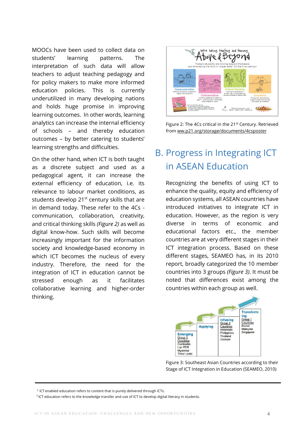MOOCs have been used to collect data on students' learning patterns. The interpretation of such data will allow teachers to adjust teaching pedagogy and for policy makers to make more informed education policies. This is currently underutilized in many developing nations and holds huge promise in improving learning outcomes. In other words, learning analytics can increase the internal efficiency of schools – and thereby education outcomes – by better catering to students' learning strengths and difficulties.

On the other hand, when ICT is both taught as a discrete subject and used as a pedagogical agent, it can increase the external efficiency of education, i.e. its relevance to labour market conditions, as students develop 21<sup>st</sup> century skills that are in demand today. These refer to the 4Cs communication, collaboration, creativity, and critical thinking skills *(Figure 2)* as well as digital know-how. Such skills will become increasingly important for the information society and knowledge-based economy in which ICT becomes the nucleus of every industry. Therefore, the need for the integration of ICT in education cannot be stressed enough as it facilitates collaborative learning and higher-order thinking.



Figure 2: The 4Cs critical in the 21<sup>st</sup> Century. Retrieved from ww.p21.org/storage/documents/4csposter

### B. Progress in Integrating ICT in ASEAN Education

Recognizing the benefits of using ICT to enhance the quality, equity and efficiency of education systems, all ASEAN countries have introduced initiatives to integrate ICT in education. However, as the region is very diverse in terms of economic and educational factors etc., the member countries are at very different stages in their ICT integration process. Based on these different stages, SEAMEO has, in its 2010 report, broadly categorized the 10 member countries into 3 groups *(Figure 3)*. It must be noted that differences exist among the countries within each group as well.



Figure 3: Southeast Asian Countries according to their Stage of ICT Integration in Education (SEAMEO, 2010)

<sup>2</sup> ICT enabled education refers to content that is purely delivered through ICTs.

<sup>&</sup>lt;sup>3</sup> ICT education refers to the knowledge transfer and use of ICT to develop digital literacy in students.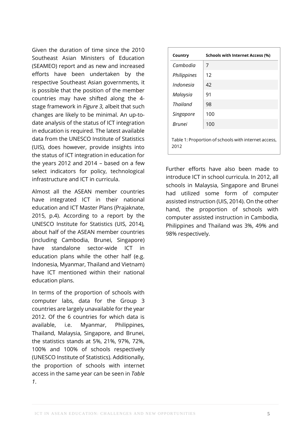Given the duration of time since the 2010 Southeast Asian Ministers of Education (SEAMEO) report and as new and increased efforts have been undertaken by the respective Southeast Asian governments, it is possible that the position of the member countries may have shifted along the 4 stage framework in *Figure 3,* albeit that such changes are likely to be minimal. An up-todate analysis of the status of ICT integration in education is required. The latest available data from the UNESCO Institute of Statistics (UIS), does however, provide insights into the status of ICT integration in education for the years 2012 and 2014 – based on a few select indicators for policy, technological infrastructure and ICT in curricula.

Almost all the ASEAN member countries have integrated ICT in their national education and ICT Master Plans (Prajaknate, 2015, p.4). According to a report by the UNESCO Institute for Statistics (UIS, 2014), about half of the ASEAN member countries (including Cambodia, Brunei, Singapore) have standalone sector-wide ICT in education plans while the other half (e.g. Indonesia, Myanmar, Thailand and Vietnam) have ICT mentioned within their national education plans.

In terms of the proportion of schools with computer labs, data for the Group 3 countries are largely unavailable for the year 2012. Of the 6 countries for which data is available, i.e. Myanmar, Philippines, Thailand, Malaysia, Singapore, and Brunei, the statistics stands at 5%, 21%, 97%, 72%, 100% and 100% of schools respectively (UNESCO Institute of Statistics). Additionally, the proportion of schools with internet access in the same year can be seen in *Table 1*.

| Country       | <b>Schools with Internet Access (%)</b>              |
|---------------|------------------------------------------------------|
| Cambodia      | 7                                                    |
| Philippines   | 12                                                   |
| Indonesia     | 42                                                   |
| Malaysia      | 91                                                   |
| Thailand      | 98                                                   |
| Singapore     | 100                                                  |
| <b>Brunei</b> | 100                                                  |
| 2012          | Table 1: Proportion of schools with internet access, |

Further efforts have also been made to introduce ICT in school curricula. In 2012, all schools in Malaysia, Singapore and Brunei had utilized some form of computer assisted instruction (UIS, 2014). On the other hand, the proportion of schools with computer assisted instruction in Cambodia, Philippines and Thailand was 3%, 49% and 98% respectively.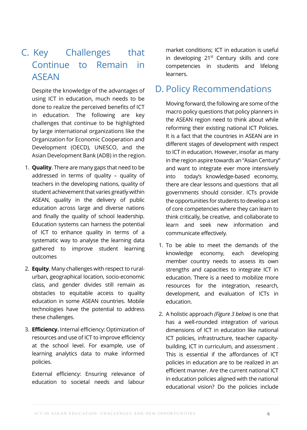### C. Key Challenges that Continue to Remain in ASEAN

Despite the knowledge of the advantages of using ICT in education, much needs to be done to realize the perceived benefits of ICT in education. The following are key challenges that continue to be highlighted by large international organizations like the Organization for Economic Cooperation and Development (OECD), UNESCO, and the Asian Development Bank (ADB) in the region.

- 1. **Quality**. There are many gaps that need to be addressed in terms of quality – quality of teachers in the developing nations, quality of student achievement that varies greatly within ASEAN, quality in the delivery of public education across large and diverse nations and finally the quality of school leadership. Education systems can harness the potential of ICT to enhance quality in terms of a systematic way to analyse the learning data gathered to improve student learning outcomes
- 2. **Equity**. Many challenges with respect to ruralurban, geographical location, socio-economic class, and gender divides still remain as obstacles to equitable access to quality education in some ASEAN countries. Mobile technologies have the potential to address these challenges.
- 3. **Efficiency.** Internal efficiency: Optimization of resources and use of ICT to improve efficiency at the school level. For example, use of learning analytics data to make informed policies.

External efficiency: Ensuring relevance of education to societal needs and labour

market conditions; ICT in education is useful in developing  $21<sup>st</sup>$  Century skills and core competencies in students and lifelong learners.

#### D. Policy Recommendations

Moving forward, the following are some of the macro policy questions that policy planners in the ASEAN region need to think about while reforming their existing national ICT Policies. It is a fact that the countries in ASEAN are in different stages of development with respect to ICT in education. However, insofar as many in the region aspire towards an "Asian Century" and want to integrate ever more intensively into today's knowledge-based economy, there are clear lessons and questions that all governments should consider. ICTs provide the opportunities for students to develop a set of core competencies where they can learn to think critically, be creative, and collaborate to learn and seek new information and communicate effectively.

- 1. To be able to meet the demands of the knowledge economy, each developing member country needs to assess its own strengths and capacities to integrate ICT in education. There is a need to mobilize more resources for the integration, research, development, and evaluation of ICTs in education.
- 2. A holistic approach *(Figure 3 below)* is one that has a well-rounded integration of various dimensions of ICT in education like national ICT policies, infrastructure, teacher capacitybuilding, ICT in curriculum, and assessment . This is essential if the affordances of ICT policies in education are to be realized in an efficient manner. Are the current national ICT in education policies aligned with the national educational vision? Do the policies include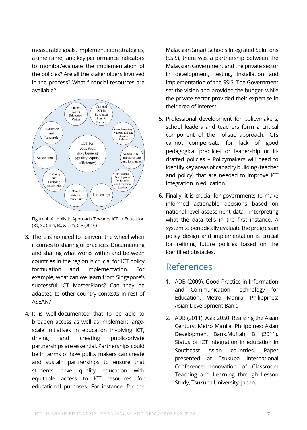measurable goals, implementation strategies, a timeframe, and key performance indicators to monitor/evaluate the implementation of the policies? Are all the stakeholders involved in the process? What financial resources are available?



Figure 4: A Holistic Approach Towards ICT in Education (Ra, S., Chin, B., & Lim, C.P (2016)

- 3. There is no need to reinvent the wheel when it comes to sharing of practices. Documenting and sharing what works within and between countries in the region is crucial for ICT policy formulation and implementation. For example, what can we learn from Singapore's successful ICT MasterPlans? Can they be adapted to other country contexts in rest of ASFAN<sub>2</sub>
- 4. It is well-documented that to be able to broaden access as well as implement largescale initiatives in education involving ICT, driving and creating public-private partnerships are essential. Partnerships could be in terms of how policy makers can create and sustain partnerships to ensure that students have quality education with equitable access to ICT resources for educational purposes. For instance, for the

Malaysian Smart Schools Integrated Solutions (SSIS), there was a partnership between the Malaysian Government and the private sector in development, testing, installation and implementation of the SSIS. The Government set the vision and provided the budget, while the private sector provided their expertise in their area of interest.

- 5. Professional development for policymakers, school leaders and teachers form a critical component of the holistic approach. ICTs cannot compensate for lack of good pedagogical practices or leadership or illdrafted policies – Policymakers will need to identify key areas of capacity building (teacher and policy) that are needed to improve ICT integration in education.
- 6. Finally, it is crucial for governments to make informed actionable decisions based on national level assessment data, interpreting what the data tells in the first instance. A system to periodically evaluate the progress in policy design and implementation is crucial for refining future policies based on the identified obstacles.

#### References

- 1. ADB (2009). Good Practice in Information and Communication Technology for Education. Metro Manila, Philippines: Asian Development Bank.
- 2. ADB (2011). Asia 2050: Realizing the Asian Century. Metro Manila, Philippines: Asian Development Bank.Muftah, B. (2011). Status of ICT integration in education in Southeast Asian countries. Paper presented at Tsukuba International Conference: Innovation of Classroom Teaching and Learning through Lesson Study, Tsukuba University, Japan.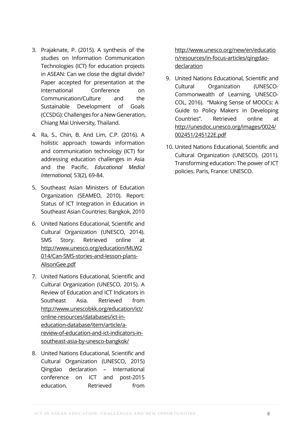- 3. Prajaknate, P. (2015). A synthesis of the studies on Information Communication Technologies (ICT) for education projects in ASEAN: Can we close the digital divide? Paper accepted for presentation at the International Conference on Communication/Culture and the Sustainable Development of Goals (CCSDG): Challenges for a New Generation, Chiang Mai University, Thailand.
- 4. Ra, S., Chin, B. And Lim, C.P. (2016). A holistic approach towards information and communication technology (ICT) for addressing education challenges in Asia and the Pacific. *Educational Medial International,* 53(2), 69-84.
- 5. Southeast Asian Ministers of Education Organization (SEAMEO, 2010). Report: Status of ICT Integration in Education in Southeast Asian Countries: Bangkok, 2010
- 6. United Nations Educational, Scientific and Cultural Organization (UNESCO, 2014). SMS Story. Retrieved online at http://www.unesco.org/education/MLW2 014/Can-SMS-stories-and-lesson-plans-AlisonGee.pdf
- 7. United Nations Educational, Scientific and Cultural Organization (UNESCO, 2015). A Review of Education and ICT Indicators in Southeast Asia. Retrieved from http://www.unescobkk.org/education/ict/ online-resources/databases/ict-ineducation-database/item/article/areview-of-education-and-ict-indicators-insoutheast-asia-by-unesco-bangkok/
- 8. United Nations Educational, Scientific and Cultural Organization (UNESCO, 2015) Qingdao declaration – International conference on ICT and post-2015 education. Retrieved from

http://www.unesco.org/new/en/educatio n/resources/in-focus-articles/qingdaodeclaration

- 9. United Nations Educational, Scientific and Cultural Organization (UNESCO-Commonwealth of Learning, UNESCO-COL, 2016). "Making Sense of MOOCs: A Guide to Policy Makers in Developing Countries". Retrieved online at http://unesdoc.unesco.org/images/0024/ 002451/245122E.pdf
- 10. United Nations Educational, Scientific and Cultural Organization (UNESCO). (2011). Transforming education: The power of ICT policies. Paris, France: UNESCO.